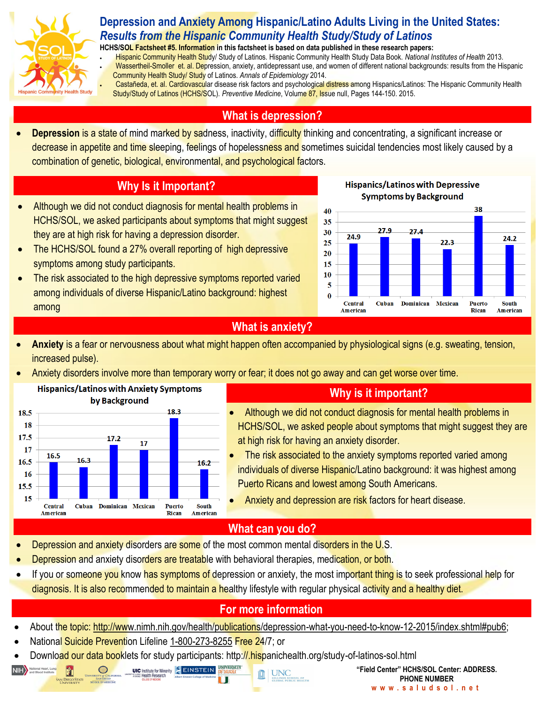

### **Depression and Anxiety Among Hispanic/Latino Adults Living in the United States:**  *Results from the Hispanic Community Health Study/Study of Latinos*

**HCHS/SOL Factsheet #5. Information in this factsheet is based on data published in these research papers:** 

 Hispanic Community Health Study/ Study of Latinos. Hispanic Community Health Study Data Book. *National Institutes of Health* 2013. Wassertheil-Smoller et. al. Depression, anxiety, antidepressant use, and women of different national backgrounds: results from the Hispanic Community Health Study/ Study of Latinos. *Annals of Epidemiology* 2014.

Castañeda, et. al. Cardiovascular disease risk factors and psychological distress among Hispanics/Latinos: The Hispanic Community Health Study/Study of Latinos (HCHS/SOL). *Preventive Medicine*, Volume 87, Issue null, Pages 144-150. 2015.

#### **What is depression?**

**Depression is a state of mind marked by sadness, inactivity, difficulty thinking and concentrating, a significant increase or** decrease in appetite and time sleeping, feelings of hopelessness and sometimes suicidal tendencies most likely caused by a combination of genetic, biological, environmental, and psychological factors.

## **Why Is it Important?**

- Although we did not conduct diagnosis for mental health problems in HCHS/SOL, we asked participants about symptoms that might suggest they are at high risk for having a depression disorder.
- The HCHS/SOL found a 27% overall reporting of high depressive symptoms among study participants.
- The risk associated to the high depressive symptoms reported varied among individuals of diverse Hispanic/Latino background: highest among





#### **What is anxiety?**

- **Anxiety** is a fear or nervousness about what might happen often accompanied by physiological signs (e.g. sweating, tension, increased pulse).
- Anxiety disorders involve more than temporary worry or fear; it does not go away and can get worse over time.



## **Why is it important?**

- Although we did not conduct diagnosis for mental health problems in HCHS/SOL, we asked people about symptoms that might suggest they are at high risk for having an anxiety disorder.
- The risk associated to the anxiety symptoms reported varied among individuals of diverse Hispanic/Latino background: it was highest among Puerto Ricans and lowest among South Americans.
- Anxiety and depression are risk factors for heart disease.

# **What can you do?**

- Depression and anxiety disorders are some of the most common mental disorders in the U.S.
- Depression and anxiety disorders are treatable with behavioral therapies, medication, or both.
- If you or someone you know has symptoms of depression or anxiety, the most important thing is to seek professional help for diagnosis. It is also recommended to maintain a healthy lifestyle with regular physical activity and a healthy diet.

# **For more information**

- About the topic: [http://www.nimh.nih.gov/health/publications/depression-what-you-need-to-know-12-2015/index.shtml#pub6;](http://www.nimh.nih.gov/health/publications/depression-what-you-need-to-know-12-2015/index.shtml#pub6)
- National Suicide Prevention Lifeline [1-800-273-8255](tel:1-800-273-8255) Free 24/7; or

NIH National Heart, Lung.

Ĥ

Download our data booklets for study participants: http://.hispanichealth.org/study-of-latinos-sol.html

**UIC** Institute for Minority EINSTEIN

**UNIVERSITY UNC**  **"Field Center" HCHS/SOL Center: ADDRESS. PHONE NUMBER w w w . s a l u d s o l . n e t**